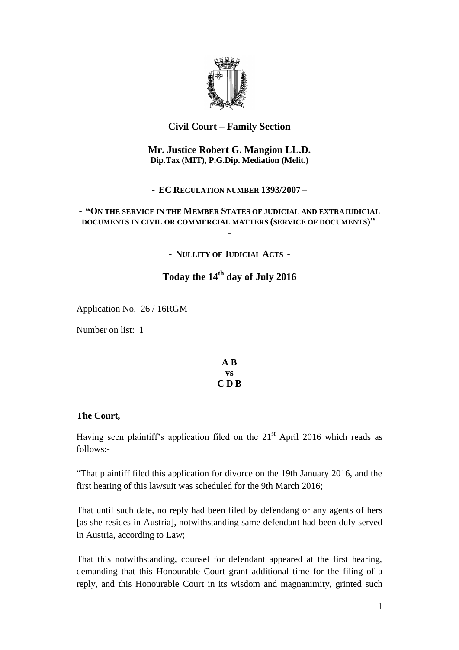

# **Civil Court – Family Section**

### **Mr. Justice Robert G. Mangion LL.D. Dip.Tax (MIT), P.G.Dip. Mediation (Melit.)**

**- EC REGULATION NUMBER 1393/2007** –

## **- "ON THE SERVICE IN THE MEMBER STATES OF JUDICIAL AND EXTRAJUDICIAL DOCUMENTS IN CIVIL OR COMMERCIAL MATTERS (SERVICE OF DOCUMENTS)"**.

-

**- NULLITY OF JUDICIAL ACTS -**

# **Today the 14th day of July 2016**

Application No. 26 / 16RGM

Number on list: 1

### **A B vs C D B**

### **The Court,**

Having seen plaintiff's application filed on the  $21<sup>st</sup>$  April 2016 which reads as follows:-

"That plaintiff filed this application for divorce on the 19th January 2016, and the first hearing of this lawsuit was scheduled for the 9th March 2016;

That until such date, no reply had been filed by defendang or any agents of hers [as she resides in Austria], notwithstanding same defendant had been duly served in Austria, according to Law;

That this notwithstanding, counsel for defendant appeared at the first hearing, demanding that this Honourable Court grant additional time for the filing of a reply, and this Honourable Court in its wisdom and magnanimity, grinted such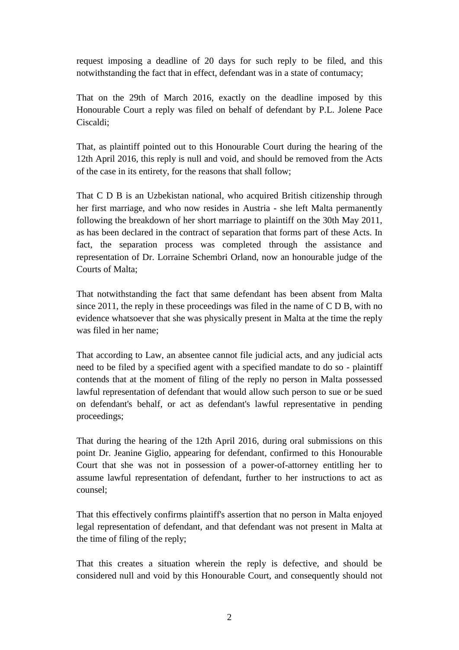request imposing a deadline of 20 days for such reply to be filed, and this notwithstanding the fact that in effect, defendant was in a state of contumacy;

That on the 29th of March 2016, exactly on the deadline imposed by this Honourable Court a reply was filed on behalf of defendant by P.L. Jolene Pace Ciscaldi;

That, as plaintiff pointed out to this Honourable Court during the hearing of the 12th April 2016, this reply is null and void, and should be removed from the Acts of the case in its entirety, for the reasons that shall follow;

That C D B is an Uzbekistan national, who acquired British citizenship through her first marriage, and who now resides in Austria - she left Malta permanently following the breakdown of her short marriage to plaintiff on the 30th May 2011, as has been declared in the contract of separation that forms part of these Acts. In fact, the separation process was completed through the assistance and representation of Dr. Lorraine Schembri Orland, now an honourable judge of the Courts of Malta;

That notwithstanding the fact that same defendant has been absent from Malta since 2011, the reply in these proceedings was filed in the name of C D B, with no evidence whatsoever that she was physically present in Malta at the time the reply was filed in her name;

That according to Law, an absentee cannot file judicial acts, and any judicial acts need to be filed by a specified agent with a specified mandate to do so - plaintiff contends that at the moment of filing of the reply no person in Malta possessed lawful representation of defendant that would allow such person to sue or be sued on defendant's behalf, or act as defendant's lawful representative in pending proceedings;

That during the hearing of the 12th April 2016, during oral submissions on this point Dr. Jeanine Giglio, appearing for defendant, confirmed to this Honourable Court that she was not in possession of a power-of-attorney entitling her to assume lawful representation of defendant, further to her instructions to act as counsel;

That this effectively confirms plaintiff's assertion that no person in Malta enjoyed legal representation of defendant, and that defendant was not present in Malta at the time of filing of the reply;

That this creates a situation wherein the reply is defective, and should be considered null and void by this Honourable Court, and consequently should not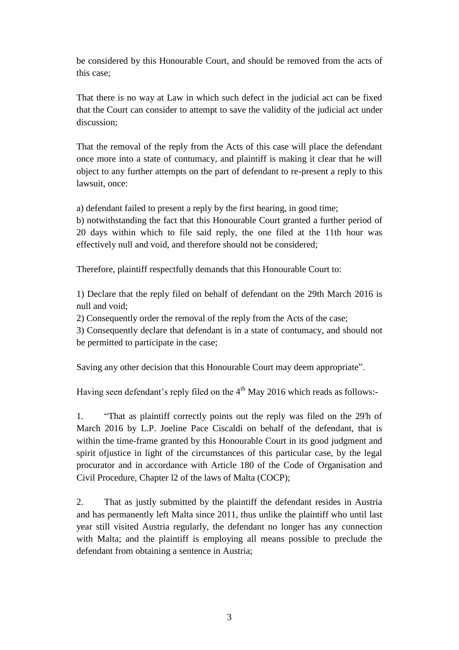be considered by this Honourable Court, and should be removed from the acts of this case;

That there is no way at Law in which such defect in the judicial act can be fixed that the Court can consider to attempt to save the validity of the judicial act under discussion;

That the removal of the reply from the Acts of this case will place the defendant once more into a state of contumacy, and plaintiff is making it clear that he will object to any further attempts on the part of defendant to re-present a reply to this lawsuit, once:

a) defendant failed to present a reply by the first hearing, in good time;

b) notwithstanding the fact that this Honourable Court granted a further period of 20 days within which to file said reply, the one filed at the 11th hour was effectively null and void, and therefore should not be considered;

Therefore, plaintiff respectfully demands that this Honourable Court to:

1) Declare that the reply filed on behalf of defendant on the 29th March 2016 is null and void;

2) Consequently order the removal of the reply from the Acts of the case;

3) Consequently declare that defendant is in a state of contumacy, and should not be permitted to participate in the case;

Saving any other decision that this Honourable Court may deem appropriate".

Having seen defendant's reply filed on the  $4<sup>th</sup>$  May 2016 which reads as follows:-

1. "That as plaintiff correctly points out the reply was filed on the 29'h of March 2016 by L.P. Joeline Pace Ciscaldi on behalf of the defendant, that is within the time-frame granted by this Honourable Court in its good judgment and spirit ofjustice in light of the circumstances of this particular case, by the legal procurator and in accordance with Article 180 of the Code of Organisation and Civil Procedure, Chapter l2 of the laws of Malta (COCP);

2. That as justly submitted by the plaintiff the defendant resides in Austria and has permanently left Malta since 2011, thus unlike the plaintiff who until last year still visited Austria regularly, the defendant no longer has any connection with Malta; and the plaintiff is employing all means possible to preclude the defendant from obtaining a sentence in Austria;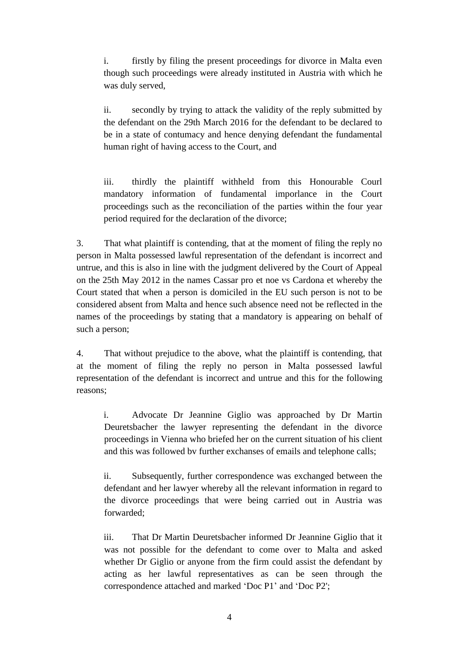i. firstly by filing the present proceedings for divorce in Malta even though such proceedings were already instituted in Austria with which he was duly served,

ii. secondly by trying to attack the validity of the reply submitted by the defendant on the 29th March 2016 for the defendant to be declared to be in a state of contumacy and hence denying defendant the fundamental human right of having access to the Court, and

iii. thirdly the plaintiff withheld from this Honourable Courl mandatory information of fundamental imporlance in the Court proceedings such as the reconciliation of the parties within the four year period required for the declaration of the divorce;

3. That what plaintiff is contending, that at the moment of filing the reply no person in Malta possessed lawful representation of the defendant is incorrect and untrue, and this is also in line with the judgment delivered by the Court of Appeal on the 25th May 2012 in the names Cassar pro et noe vs Cardona et whereby the Court stated that when a person is domiciled in the EU such person is not to be considered absent from Malta and hence such absence need not be reflected in the names of the proceedings by stating that a mandatory is appearing on behalf of such a person;

4. That without prejudice to the above, what the plaintiff is contending, that at the moment of filing the reply no person in Malta possessed lawful representation of the defendant is incorrect and untrue and this for the following reasons;

i. Advocate Dr Jeannine Giglio was approached by Dr Martin Deuretsbacher the lawyer representing the defendant in the divorce proceedings in Vienna who briefed her on the current situation of his client and this was followed bv further exchanses of emails and telephone calls;

ii. Subsequently, further correspondence was exchanged between the defendant and her lawyer whereby all the relevant information in regard to the divorce proceedings that were being carried out in Austria was forwarded;

iii. That Dr Martin Deuretsbacher informed Dr Jeannine Giglio that it was not possible for the defendant to come over to Malta and asked whether Dr Giglio or anyone from the firm could assist the defendant by acting as her lawful representatives as can be seen through the correspondence attached and marked 'Doc P1' and 'Doc P2';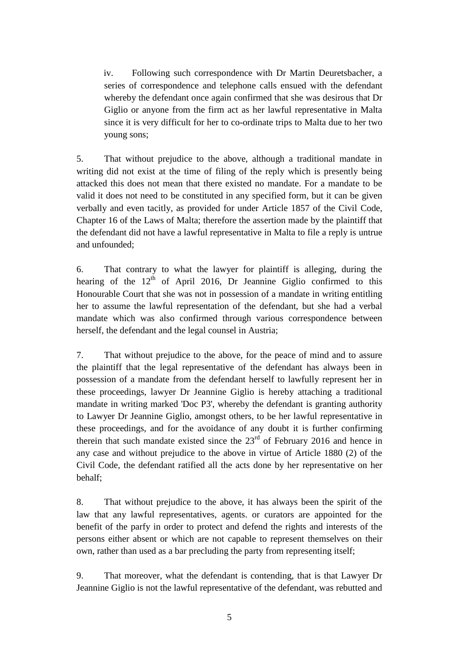iv. Following such correspondence with Dr Martin Deuretsbacher, a series of correspondence and telephone calls ensued with the defendant whereby the defendant once again confirmed that she was desirous that Dr Giglio or anyone from the firm act as her lawful representative in Malta since it is very difficult for her to co-ordinate trips to Malta due to her two young sons;

5. That without prejudice to the above, although a traditional mandate in writing did not exist at the time of filing of the reply which is presently being attacked this does not mean that there existed no mandate. For a mandate to be valid it does not need to be constituted in any specified form, but it can be given verbally and even tacitly, as provided for under Article 1857 of the Civil Code, Chapter 16 of the Laws of Malta; therefore the assertion made by the plaintiff that the defendant did not have a lawful representative in Malta to file a reply is untrue and unfounded;

6. That contrary to what the lawyer for plaintiff is alleging, during the hearing of the  $12<sup>th</sup>$  of April 2016, Dr Jeannine Giglio confirmed to this Honourable Court that she was not in possession of a mandate in writing entitling her to assume the lawful representation of the defendant, but she had a verbal mandate which was also confirmed through various correspondence between herself, the defendant and the legal counsel in Austria;

7. That without prejudice to the above, for the peace of mind and to assure the plaintiff that the legal representative of the defendant has always been in possession of a mandate from the defendant herself to lawfully represent her in these proceedings, lawyer Dr Jeannine Giglio is hereby attaching a traditional mandate in writing marked 'Doc P3', whereby the defendant is granting authority to Lawyer Dr Jeannine Giglio, amongst others, to be her lawful representative in these proceedings, and for the avoidance of any doubt it is further confirming therein that such mandate existed since the  $23<sup>rd</sup>$  of February 2016 and hence in any case and without prejudice to the above in virtue of Article 1880 (2) of the Civil Code, the defendant ratified all the acts done by her representative on her behalf;

8. That without prejudice to the above, it has always been the spirit of the law that any lawful representatives, agents. or curators are appointed for the benefit of the parfy in order to protect and defend the rights and interests of the persons either absent or which are not capable to represent themselves on their own, rather than used as a bar precluding the party from representing itself;

9. That moreover, what the defendant is contending, that is that Lawyer Dr Jeannine Giglio is not the lawful representative of the defendant, was rebutted and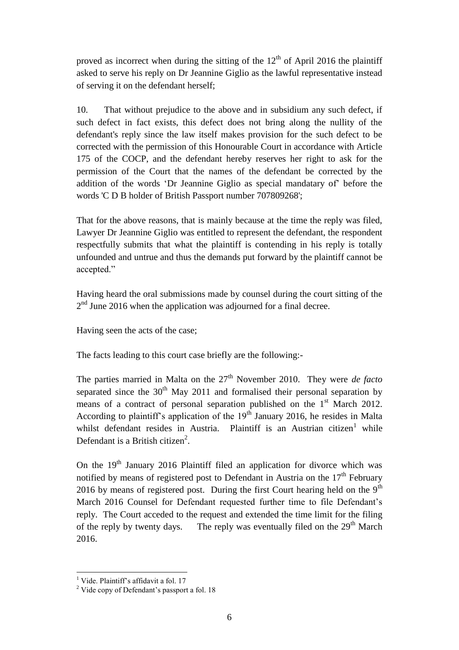proved as incorrect when during the sitting of the  $12<sup>th</sup>$  of April 2016 the plaintiff asked to serve his reply on Dr Jeannine Giglio as the lawful representative instead of serving it on the defendant herself;

10. That without prejudice to the above and in subsidium any such defect, if such defect in fact exists, this defect does not bring along the nullity of the defendant's reply since the law itself makes provision for the such defect to be corrected with the permission of this Honourable Court in accordance with Article 175 of the COCP, and the defendant hereby reserves her right to ask for the permission of the Court that the names of the defendant be corrected by the addition of the words 'Dr Jeannine Giglio as special mandatary of' before the words 'C D B holder of British Passport number 707809268';

That for the above reasons, that is mainly because at the time the reply was filed, Lawyer Dr Jeannine Giglio was entitled to represent the defendant, the respondent respectfully submits that what the plaintiff is contending in his reply is totally unfounded and untrue and thus the demands put forward by the plaintiff cannot be accepted."

Having heard the oral submissions made by counsel during the court sitting of the  $2<sup>nd</sup>$  June 2016 when the application was adjourned for a final decree.

Having seen the acts of the case;

The facts leading to this court case briefly are the following:-

The parties married in Malta on the  $27<sup>th</sup>$  November 2010. They were *de facto* separated since the  $30<sup>th</sup>$  May 2011 and formalised their personal separation by means of a contract of personal separation published on the  $1<sup>st</sup>$  March 2012. According to plaintiff's application of the  $19<sup>th</sup>$  January 2016, he resides in Malta whilst defendant resides in Austria. Plaintiff is an Austrian citizen<sup>1</sup> while Defendant is a British citizen<sup>2</sup>.

On the  $19<sup>th</sup>$  January 2016 Plaintiff filed an application for divorce which was notified by means of registered post to Defendant in Austria on the  $17<sup>th</sup>$  February 2016 by means of registered post. During the first Court hearing held on the  $9<sup>th</sup>$ March 2016 Counsel for Defendant requested further time to file Defendant's reply. The Court acceded to the request and extended the time limit for the filing of the reply by twenty days. The reply was eventually filed on the  $29<sup>th</sup>$  March 2016.

 $\overline{a}$  $<sup>1</sup>$  Vide. Plaintiff's affidavit a fol. 17</sup>

<sup>2</sup> Vide copy of Defendant's passport a fol. 18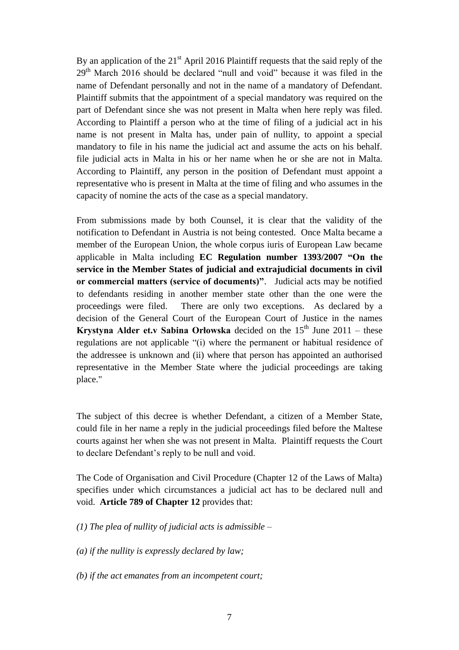By an application of the  $21<sup>st</sup>$  April 2016 Plaintiff requests that the said reply of the  $29<sup>th</sup>$  March 2016 should be declared "null and void" because it was filed in the name of Defendant personally and not in the name of a mandatory of Defendant. Plaintiff submits that the appointment of a special mandatory was required on the part of Defendant since she was not present in Malta when here reply was filed. According to Plaintiff a person who at the time of filing of a judicial act in his name is not present in Malta has, under pain of nullity, to appoint a special mandatory to file in his name the judicial act and assume the acts on his behalf. file judicial acts in Malta in his or her name when he or she are not in Malta. According to Plaintiff, any person in the position of Defendant must appoint a representative who is present in Malta at the time of filing and who assumes in the capacity of nomine the acts of the case as a special mandatory.

From submissions made by both Counsel, it is clear that the validity of the notification to Defendant in Austria is not being contested. Once Malta became a member of the European Union, the whole corpus iuris of European Law became applicable in Malta including **EC Regulation number 1393/2007 "On the service in the Member States of judicial and extrajudicial documents in civil or commercial matters (service of documents)"**. Judicial acts may be notified to defendants residing in another member state other than the one were the proceedings were filed. There are only two exceptions. As declared by a decision of the General Court of the European Court of Justice in the names **Krystyna Alder et.v Sabina Orłowska** decided on the  $15<sup>th</sup>$  June 2011 – these regulations are not applicable "(i) where the permanent or habitual residence of the addressee is unknown and (ii) where that person has appointed an authorised representative in the Member State where the judicial proceedings are taking place."

The subject of this decree is whether Defendant, a citizen of a Member State, could file in her name a reply in the judicial proceedings filed before the Maltese courts against her when she was not present in Malta. Plaintiff requests the Court to declare Defendant's reply to be null and void.

The Code of Organisation and Civil Procedure (Chapter 12 of the Laws of Malta) specifies under which circumstances a judicial act has to be declared null and void. **Article 789 of Chapter 12** provides that:

*(1) The plea of nullity of judicial acts is admissible –*

*(a) if the nullity is expressly declared by law;* 

*(b) if the act emanates from an incompetent court;*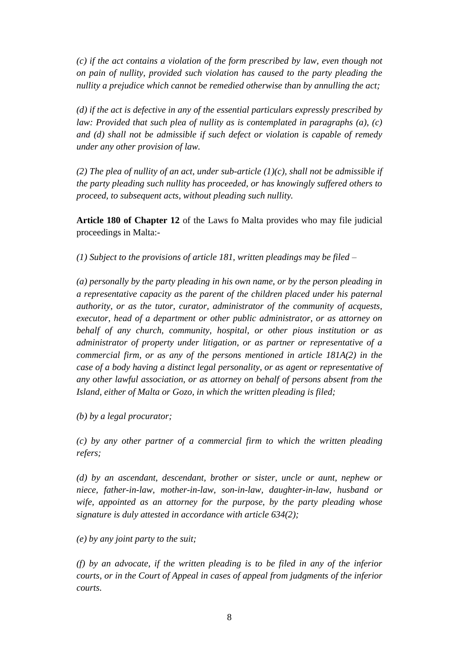*(c) if the act contains a violation of the form prescribed by law, even though not on pain of nullity, provided such violation has caused to the party pleading the nullity a prejudice which cannot be remedied otherwise than by annulling the act;* 

*(d) if the act is defective in any of the essential particulars expressly prescribed by law: Provided that such plea of nullity as is contemplated in paragraphs (a), (c) and (d) shall not be admissible if such defect or violation is capable of remedy under any other provision of law.* 

*(2) The plea of nullity of an act, under sub-article (1)(c), shall not be admissible if the party pleading such nullity has proceeded, or has knowingly suffered others to proceed, to subsequent acts, without pleading such nullity.*

**Article 180 of Chapter 12** of the Laws fo Malta provides who may file judicial proceedings in Malta:-

*(1) Subject to the provisions of article 181, written pleadings may be filed –*

*(a) personally by the party pleading in his own name, or by the person pleading in a representative capacity as the parent of the children placed under his paternal authority, or as the tutor, curator, administrator of the community of acquests, executor, head of a department or other public administrator, or as attorney on behalf of any church, community, hospital, or other pious institution or as administrator of property under litigation, or as partner or representative of a commercial firm, or as any of the persons mentioned in article 181A(2) in the case of a body having a distinct legal personality, or as agent or representative of any other lawful association, or as attorney on behalf of persons absent from the Island, either of Malta or Gozo, in which the written pleading is filed;* 

*(b) by a legal procurator;* 

*(c) by any other partner of a commercial firm to which the written pleading refers;* 

*(d) by an ascendant, descendant, brother or sister, uncle or aunt, nephew or niece, father-in-law, mother-in-law, son-in-law, daughter-in-law, husband or wife, appointed as an attorney for the purpose, by the party pleading whose signature is duly attested in accordance with article 634(2);* 

*(e) by any joint party to the suit;* 

*(f) by an advocate, if the written pleading is to be filed in any of the inferior courts, or in the Court of Appeal in cases of appeal from judgments of the inferior courts.*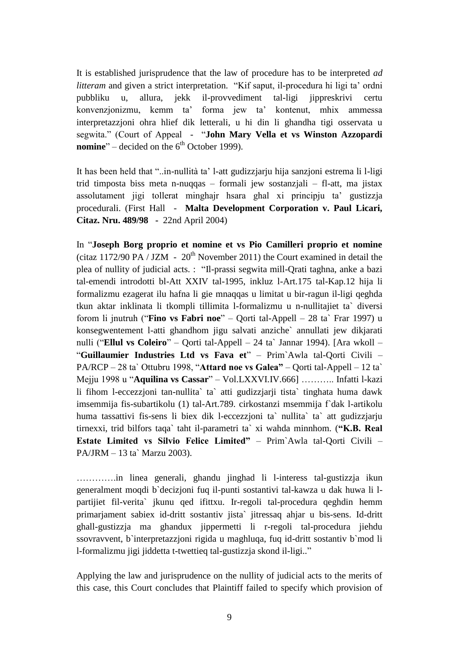It is established jurisprudence that the law of procedure has to be interpreted *ad litteram* and given a strict interpretation. "Kif saput, il-procedura hi ligi ta' ordni pubbliku u, allura, jekk il-provvediment tal-ligi jippreskrivi certu konvenzjonizmu, kemm ta' forma jew ta' kontenut, mhix ammessa interpretazzjoni ohra hlief dik letterali, u hi din li ghandha tigi osservata u segwita." (Court of Appeal - "**John Mary Vella et vs Winston Azzopardi nomine**" – decided on the  $6<sup>th</sup>$  October 1999).

It has been held that "..in-nullità ta' l-att gudizzjarju hija sanzjoni estrema li l-ligi trid timposta biss meta n-nuqqas – formali jew sostanzjali – fl-att, ma jistax assolutament jigi tollerat minghajr hsara ghal xi principju ta' gustizzja procedurali. (First Hall - **Malta Development Corporation v. Paul Licari, Citaz. Nru. 489/98 -** 22nd April 2004)

In "**Joseph Borg proprio et nomine et vs Pio Camilleri proprio et nomine** (citaz 1172/90 PA / JZM -  $20<sup>th</sup>$  November 2011) the Court examined in detail the plea of nullity of judicial acts. : "Il-prassi segwita mill-Qrati taghna, anke a bazi tal-emendi introdotti bl-Att XXIV tal-1995, inkluz l-Art.175 tal-Kap.12 hija li formalizmu ezagerat ilu hafna li gie mnaqqas u limitat u bir-ragun il-ligi qeghda tkun aktar inklinata li tkompli tillimita l-formalizmu u n-nullitajiet ta` diversi forom li jnutruh ("**Fino vs Fabri noe**" – Qorti tal-Appell – 28 ta` Frar 1997) u konsegwentement l-atti ghandhom jigu salvati anziche` annullati jew dikjarati nulli ("**Ellul vs Coleiro**" – Qorti tal-Appell – 24 ta` Jannar 1994). [Ara wkoll – "**Guillaumier Industries Ltd vs Fava et**" – Prim`Awla tal-Qorti Civili – PA/RCP – 28 ta` Ottubru 1998, "**Attard noe vs Galea"** – Qorti tal-Appell – 12 ta` Mejju 1998 u "**Aquilina vs Cassar**" – Vol.LXXVI.IV.666] ……….. Infatti l-kazi li fihom l-eccezzjoni tan-nullita` ta` atti gudizzjarji tista` tinghata huma dawk imsemmija fis-subartikolu (1) tal-Art.789. cirkostanzi msemmija f`dak l-artikolu huma tassattivi fis-sens li biex dik l-eccezzjoni ta` nullita` ta` att gudizzjarju tirnexxi, trid bilfors taqa` taht il-parametri ta` xi wahda minnhom. (**"K.B. Real Estate Limited vs Silvio Felice Limited"** – Prim`Awla tal-Qorti Civili – PA/JRM – 13 ta` Marzu 2003).

………….in linea generali, ghandu jinghad li l-interess tal-gustizzja ikun generalment moqdi b`decizjoni fuq il-punti sostantivi tal-kawza u dak huwa li lpartijiet fil-verita` jkunu qed ifittxu. Ir-regoli tal-procedura qeghdin hemm primarjament sabiex id-dritt sostantiv jista` jitressaq ahjar u bis-sens. Id-dritt ghall-gustizzja ma ghandux jippermetti li r-regoli tal-procedura jiehdu ssovravvent, b`interpretazzjoni rigida u maghluqa, fuq id-dritt sostantiv b`mod li l-formalizmu jigi jiddetta t-twettieq tal-gustizzja skond il-ligi.."

Applying the law and jurisprudence on the nullity of judicial acts to the merits of this case, this Court concludes that Plaintiff failed to specify which provision of